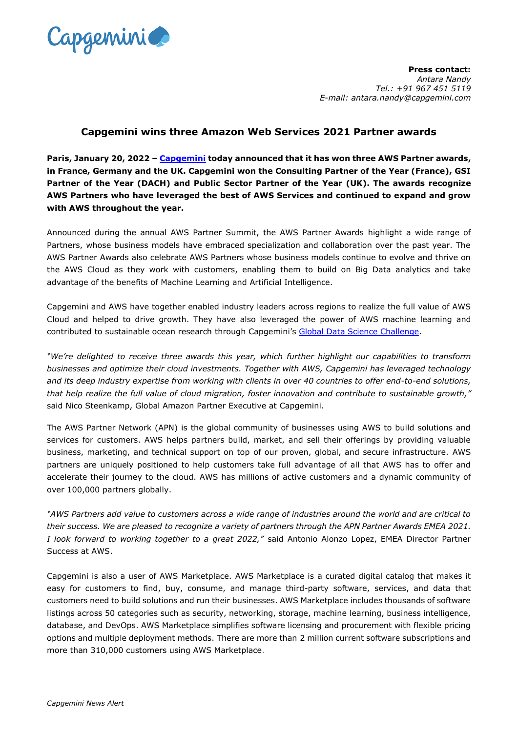

**Press contact:** *Antara Nandy Tel.: +91 967 451 5119 E-mail: antara.nandy@capgemini.com*

## **Capgemini wins three Amazon Web Services 2021 Partner awards**

**Paris, January 20, 2022 – [Capgemini](http://www.capgemini.com/) today announced that it has won three AWS Partner awards, in France, Germany and the UK. Capgemini won the Consulting Partner of the Year (France), GSI Partner of the Year (DACH) and Public Sector Partner of the Year (UK). The awards recognize AWS Partners who have leveraged the best of AWS Services and continued to expand and grow with AWS throughout the year.**

Announced during the annual AWS Partner Summit, the AWS Partner Awards highlight a wide range of Partners, whose business models have embraced specialization and collaboration over the past year. The AWS Partner Awards also celebrate AWS Partners whose business models continue to evolve and thrive on the AWS Cloud as they work with customers, enabling them to build on Big Data analytics and take advantage of the benefits of Machine Learning and Artificial Intelligence.

Capgemini and AWS have together enabled industry leaders across regions to realize the full value of AWS Cloud and helped to drive growth. They have also leveraged the power of AWS machine learning and contributed to sustainable ocean research through Capgemini's [Global Data Science Challenge.](https://www.capgemini.com/client-story/deepening-our-knowledge-of-the-ocean-with-ai-and-machine-learning/)

*"We're delighted to receive three awards this year, which further highlight our capabilities to transform businesses and optimize their cloud investments. Together with AWS, Capgemini has leveraged technology and its deep industry expertise from working with clients in over 40 countries to offer end-to-end solutions, that help realize the full value of cloud migration, foster innovation and contribute to sustainable growth,"* said Nico Steenkamp, Global Amazon Partner Executive at Capgemini.

The AWS Partner Network (APN) is the global community of businesses using AWS to build solutions and services for customers. AWS helps partners build, market, and sell their offerings by providing valuable business, marketing, and technical support on top of our proven, global, and secure infrastructure. AWS partners are uniquely positioned to help customers take full advantage of all that AWS has to offer and accelerate their journey to the cloud. AWS has millions of active customers and a dynamic community of over 100,000 partners globally.

*"AWS Partners add value to customers across a wide range of industries around the world and are critical to their success. We are pleased to recognize a variety of partners through the APN Partner Awards EMEA 2021. I look forward to working together to a great 2022,"* said Antonio Alonzo Lopez, EMEA Director Partner Success at AWS.

Capgemini is also a user of AWS Marketplace. AWS Marketplace is a curated digital catalog that makes it easy for customers to find, buy, consume, and manage third-party software, services, and data that customers need to build solutions and run their businesses. AWS Marketplace includes thousands of software listings across 50 categories such as security, networking, storage, machine learning, business intelligence, database, and DevOps. AWS Marketplace simplifies software licensing and procurement with flexible pricing options and multiple deployment methods. There are more than 2 million current software subscriptions and more than 310,000 customers using AWS Marketplace.